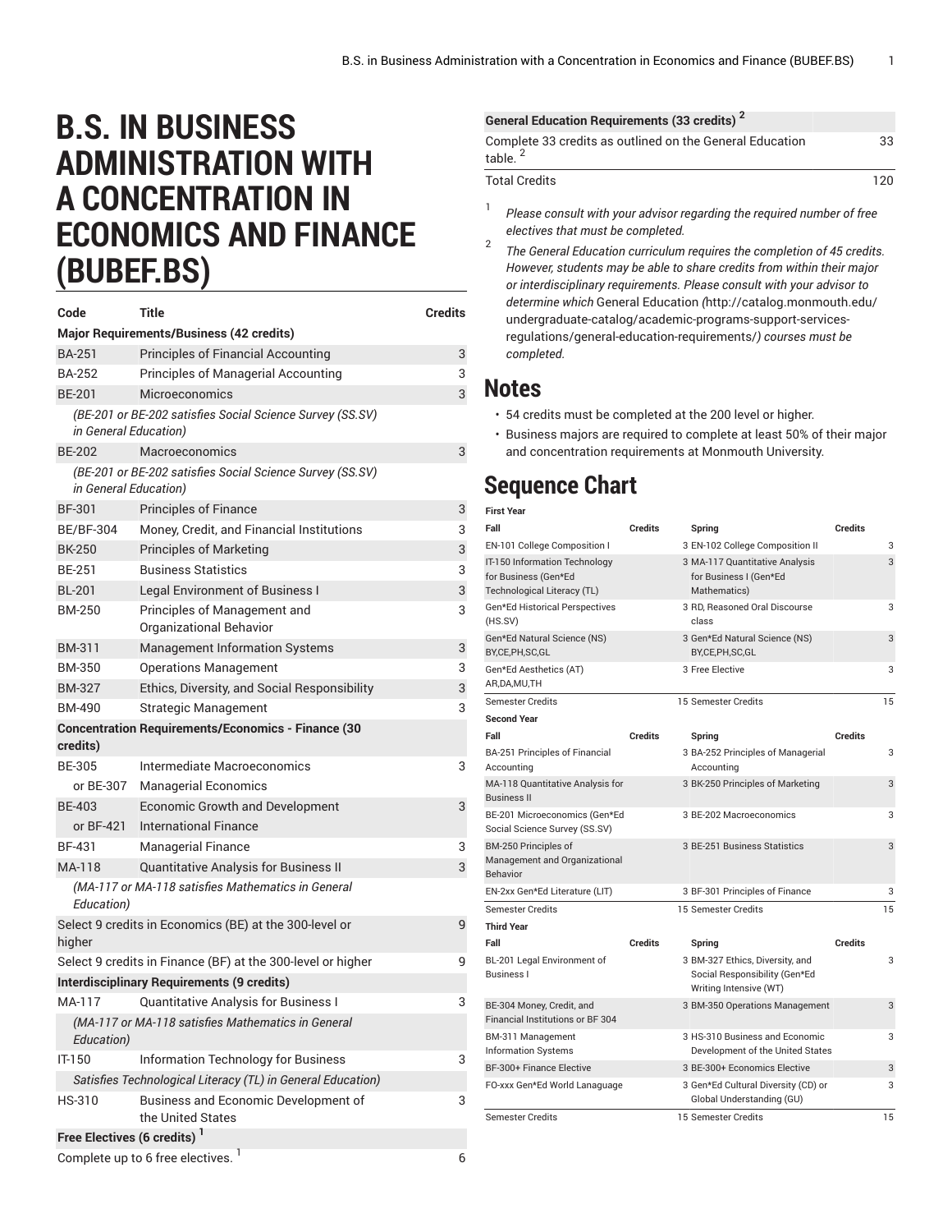## **B.S. IN BUSINESS ADMINISTRATION WITH A CONCENTRATION IN ECONOMICS AND FINANCE (BUBEF.BS)**

| Code                                                                               | Title                                                       | <b>Credits</b> |  |
|------------------------------------------------------------------------------------|-------------------------------------------------------------|----------------|--|
|                                                                                    | <b>Major Requirements/Business (42 credits)</b>             |                |  |
| <b>BA-251</b>                                                                      | <b>Principles of Financial Accounting</b>                   | 3              |  |
| <b>BA-252</b>                                                                      | <b>Principles of Managerial Accounting</b>                  | 3              |  |
| <b>BE-201</b>                                                                      | <b>Microeconomics</b>                                       | 3              |  |
| (BE-201 or BE-202 satisfies Social Science Survey (SS.SV)<br>in General Education) |                                                             |                |  |
| <b>BE-202</b>                                                                      | Macroeconomics                                              | 3              |  |
| in General Education)                                                              | (BE-201 or BE-202 satisfies Social Science Survey (SS.SV)   |                |  |
| <b>BF-301</b>                                                                      | <b>Principles of Finance</b>                                | 3              |  |
| <b>BE/BF-304</b>                                                                   | Money, Credit, and Financial Institutions                   | 3              |  |
| <b>BK-250</b>                                                                      | <b>Principles of Marketing</b>                              | 3              |  |
| <b>BE-251</b>                                                                      | <b>Business Statistics</b>                                  | 3              |  |
| <b>BL-201</b>                                                                      | <b>Legal Environment of Business I</b>                      | 3              |  |
| <b>BM-250</b>                                                                      | Principles of Management and<br>Organizational Behavior     | 3              |  |
| <b>BM-311</b>                                                                      | <b>Management Information Systems</b>                       | 3              |  |
| <b>BM-350</b>                                                                      | <b>Operations Management</b>                                | 3              |  |
| <b>BM-327</b>                                                                      | Ethics, Diversity, and Social Responsibility                | 3              |  |
| <b>BM-490</b>                                                                      | Strategic Management                                        | 3              |  |
| credits)                                                                           | <b>Concentration Requirements/Economics - Finance (30</b>   |                |  |
| <b>BE-305</b>                                                                      | Intermediate Macroeconomics                                 | 3              |  |
| or BE-307                                                                          | <b>Managerial Economics</b>                                 |                |  |
| <b>BE-403</b>                                                                      | <b>Economic Growth and Development</b>                      | 3              |  |
| or BF-421                                                                          | <b>International Finance</b>                                |                |  |
| BF-431                                                                             | <b>Managerial Finance</b>                                   | 3              |  |
| MA-118                                                                             | Quantitative Analysis for Business II                       | 3              |  |
| Education)                                                                         | (MA-117 or MA-118 satisfies Mathematics in General          |                |  |
| higher                                                                             | Select 9 credits in Economics (BE) at the 300-level or      | 9              |  |
|                                                                                    | Select 9 credits in Finance (BF) at the 300-level or higher | 9              |  |
|                                                                                    | <b>Interdisciplinary Requirements (9 credits)</b>           |                |  |
|                                                                                    | MA-117 Quantitative Analysis for Business I                 | 3              |  |
| Education)                                                                         | (MA-117 or MA-118 satisfies Mathematics in General          |                |  |
| IT-150                                                                             | <b>Information Technology for Business</b>                  | 3              |  |
|                                                                                    | Satisfies Technological Literacy (TL) in General Education) |                |  |
| HS-310                                                                             | Business and Economic Development of<br>the United States   | 3              |  |
| Free Electives (6 credits) <sup>1</sup>                                            |                                                             |                |  |
|                                                                                    |                                                             |                |  |

## **General Education Requirements (33 credits) 2**

| Complete 33 credits as outlined on the General Education<br>table. <sup>2</sup> | 33  |
|---------------------------------------------------------------------------------|-----|
| <b>Total Credits</b>                                                            | 120 |

- 1 *Please consult with your advisor regarding the required number of free electives that must be completed.*
- 2 *The General Education curriculum requires the completion of 45 credits. However, students may be able to share credits from within their major or interdisciplinary requirements. Please consult with your advisor to determine which* General [Education](http://catalog.monmouth.edu/undergraduate-catalog/academic-programs-support-services-regulations/general-education-requirements/) *(*[http://catalog.monmouth.edu/](http://catalog.monmouth.edu/undergraduate-catalog/academic-programs-support-services-regulations/general-education-requirements/) [undergraduate-catalog/academic-programs-support-services](http://catalog.monmouth.edu/undergraduate-catalog/academic-programs-support-services-regulations/general-education-requirements/)[regulations/general-education-requirements/](http://catalog.monmouth.edu/undergraduate-catalog/academic-programs-support-services-regulations/general-education-requirements/)*) courses must be completed.*

## **Notes**

- 54 credits must be completed at the 200 level or higher.
- Business majors are required to complete at least 50% of their major and concentration requirements at Monmouth University.

## **Sequence Chart**

| <b>First Year</b>                                                                    |                |                                                                                            |                |    |
|--------------------------------------------------------------------------------------|----------------|--------------------------------------------------------------------------------------------|----------------|----|
| Fall                                                                                 | Credits        | Spring                                                                                     | <b>Credits</b> |    |
| EN-101 College Composition I                                                         |                | 3 EN-102 College Composition II                                                            |                | 3  |
| IT-150 Information Technology<br>for Business (Gen*Ed<br>Technological Literacy (TL) |                | 3 MA-117 Quantitative Analysis<br>for Business I (Gen*Ed<br>Mathematics)                   |                | 3  |
| Gen*Ed Historical Perspectives<br>(HS.SV)                                            |                | 3 RD, Reasoned Oral Discourse<br>class                                                     |                | 3  |
| Gen*Ed Natural Science (NS)<br>BY,CE,PH,SC,GL                                        |                | 3 Gen*Ed Natural Science (NS)<br>BY,CE,PH,SC,GL                                            |                | 3  |
| Gen*Ed Aesthetics (AT)<br>AR, DA, MU, TH                                             |                | 3 Free Elective                                                                            |                | 3  |
| <b>Semester Credits</b>                                                              |                | 15 Semester Credits                                                                        |                | 15 |
| <b>Second Year</b>                                                                   |                |                                                                                            |                |    |
| Fall                                                                                 | <b>Credits</b> | Spring                                                                                     | <b>Credits</b> |    |
| BA-251 Principles of Financial<br>Accounting                                         |                | 3 BA-252 Principles of Managerial<br>Accounting                                            |                | 3  |
| MA-118 Quantitative Analysis for<br><b>Business II</b>                               |                | 3 BK-250 Principles of Marketing                                                           |                | 3  |
| BE-201 Microeconomics (Gen*Ed<br>Social Science Survey (SS.SV)                       |                | 3 BE-202 Macroeconomics                                                                    |                | 3  |
| BM-250 Principles of<br>Management and Organizational<br><b>Behavior</b>             |                | 3 BE-251 Business Statistics                                                               |                | 3  |
| EN-2xx Gen*Ed Literature (LIT)                                                       |                | 3 BF-301 Principles of Finance                                                             |                | 3  |
| Semester Credits                                                                     |                | 15 Semester Credits                                                                        |                | 15 |
| <b>Third Year</b>                                                                    |                |                                                                                            |                |    |
| Fall                                                                                 | <b>Credits</b> | Spring                                                                                     | <b>Credits</b> |    |
| BL-201 Legal Environment of<br><b>Business I</b>                                     |                | 3 BM-327 Ethics, Diversity, and<br>Social Responsibility (Gen*Ed<br>Writing Intensive (WT) |                | 3  |
| BE-304 Money, Credit, and<br>Financial Institutions or BF 304                        |                | 3 BM-350 Operations Management                                                             |                | 3  |
| BM-311 Management<br><b>Information Systems</b>                                      |                | 3 HS-310 Business and Economic<br>Development of the United States                         |                | 3  |
| BF-300+ Finance Elective                                                             |                | 3 BE-300+ Economics Elective                                                               |                | 3  |
| FO-xxx Gen*Ed World Lanaguage                                                        |                | 3 Gen*Ed Cultural Diversity (CD) or<br>Global Understanding (GU)                           |                | 3  |
| <b>Semester Credits</b>                                                              |                | 15 Semester Credits                                                                        |                | 15 |